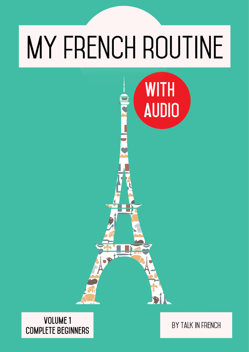# MY FRENCH ROUTINE

**WITH** 

AUDIO

**BÍ** 

## **VOLUME 1 COMPLETE BEGINNERS**

BY TALK IN FRENCH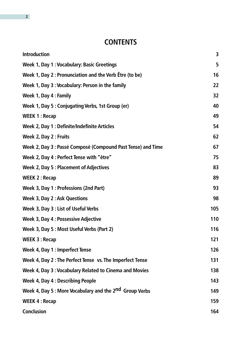## **CONTENTS**

| <b>Introduction</b>                                                 | 3   |
|---------------------------------------------------------------------|-----|
| <b>Week 1, Day 1: Vocabulary: Basic Greetings</b>                   | 5   |
| Week 1, Day 2: Pronunciation and the Verb Être (to be)              | 16  |
| Week 1, Day 3: Vocabulary: Person in the family                     | 22  |
| Week 1, Day 4 : Family                                              | 32  |
| Week 1, Day 5: Conjugating Verbs, 1st Group (er)                    | 40  |
| <b>WEEK 1: Recap</b>                                                | 49  |
| Week 2, Day 1 : Definite/Indefinite Articles                        | 54  |
| Week 2, Day 2 : Fruits                                              | 62  |
| Week 2, Day 3 : Passé Composé (Compound Past Tense) and Time        | 67  |
| Week 2, Day 4 : Perfect Tense with "être"                           | 75  |
| <b>Week 2, Day 5: Placement of Adjectives</b>                       | 83  |
| <b>WEEK 2: Recap</b>                                                | 89  |
| Week 3, Day 1 : Professions (2nd Part)                              | 93  |
| <b>Week 3, Day 2: Ask Questions</b>                                 | 98  |
| Week 3, Day 3 : List of Useful Verbs                                | 105 |
| <b>Week 3, Day 4: Possessive Adjective</b>                          | 110 |
| Week 3, Day 5 : Most Useful Verbs (Part 2)                          | 116 |
| <b>WEEK 3: Recap</b>                                                | 121 |
| Week 4, Day 1 : Imperfect Tense                                     | 126 |
| Week 4, Day 2: The Perfect Tense vs. The Imperfect Tense            | 131 |
| Week 4, Day 3: Vocabulary Related to Cinema and Movies              | 138 |
| <b>Week 4, Day 4 : Describing People</b>                            | 143 |
| Week 4, Day 5 : More Vocabulary and the 2 <sup>nd</sup> Group Verbs | 149 |
| <b>WEEK 4: Recap</b>                                                | 159 |
| <b>Conclusion</b>                                                   | 164 |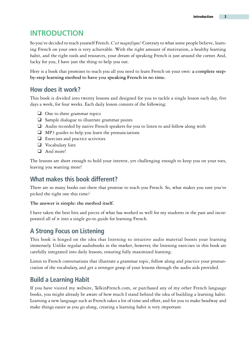## <span id="page-2-0"></span>**Introduction**

So you've decided to teach yourself French. *C'est magnifique!* Contrary to what some people believe, learning French on your own is very achievable. With the right amount of motivation, a healthy learning habit, and the right tools and resources, your dream of speaking French is just around the corner. And, lucky for you, I have just the thing to help you out.

Here is a book that promises to teach you all you need to learn French on your own: **a complete stepby-step learning method to have you speaking French in no time.**

## **How does it work?**

This book is divided into twenty lessons and designed for you to tackle a single lesson each day, five days a week, for four weeks. Each daily lesson consists of the following:

- □ One to three grammar topics
- ❑ Sample dialogue to illustrate grammar points
- ❑ Audio recorded by native French speakers for you to listen to and follow along with
- $\Box$  MP3 guides to help you learn the pronunciations
- ❑ Exercises and practice activities
- ❑ Vocabulary lists
- □ And more!

The lessons are short enough to hold your interest, yet challenging enough to keep you on your toes, leaving you wanting more!

## **What makes this book different?**

There are so many books out there that promise to teach you French. So, what makes you sure you've picked the right one this time?

**The answer is simple: the method itself.**

I have taken the best bits and pieces of what has worked so well for my students in the past and incorporated all of it into a single go-to guide for learning French.

## **A Strong Focus on Listening**

This book is hinged on the idea that listening to intuitive audio material boosts your learning immensely. Unlike regular audiobooks in the market, however, the listening exercises in this book are carefully integrated into daily lessons, ensuring fully maximized learning.

Listen to French conversations that illustrate a grammar topic, follow along and practice your pronunciation of the vocabulary, and get a stronger grasp of your lessons through the audio aids provided.

## **Build a Learning Habit**

If you have visited my website, TalkinFrench.com, or purchased any of my other French language books, you might already be aware of how much I stand behind the idea of building a learning habit. Learning a new language such as French takes a lot of time and effort, and for you to make headway and make things easier as you go along, creating a learning habit is very important.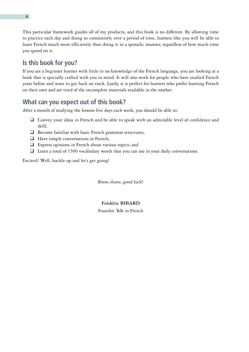This particular framework guides all of my products, and this book is no different. By allotting time to practice each day and doing so consistently over a period of time, learners like you will be able to learn French much more efficiently than doing it in a sporadic manner, regardless of how much time you spend on it.

## **Is this book for you?**

If you are a beginner learner with little to no knowledge of the French language, you are looking at a book that is specially crafted with you in mind. It will also work for people who have studied French years before and want to get back on track. Lastly, it is perfect for learners who prefer learning French on their own and are tired of the incomplete materials available in the market.

## **What can you expect out of this book?**

After a month of studying the lessons five days each week, you should be able to:

- ❑ Convey your ideas in French and be able to speak with an admirable level of confidence and skill;
- □ Become familiar with basic French grammar structures;
- ❑ Have simple conversations in French;
- ❑ Express opinions in French about various topics; and
- $\Box$  Learn a total of 1500 vocabulary words that you can use in your daily conversations.

Excited? Well, buckle up and let's get going!

*Bonne chance*, good luck!

#### **Frédéric BIBARD**

Founder, Talk in French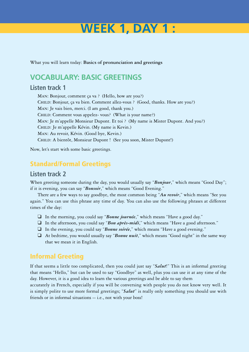# **Week 1, Day 1 :**

<span id="page-4-0"></span>What you will learn today: **Basics of pronunciation and greetings**

## **Vocabulary: Basic Greetings**

## **Listen track 1**

Man: Bonjour, comment ça va ? (Hello, how are you?) Child: Bonjour, ça va bien. Comment allez-vous ? (Good, thanks. How are you?) Man: Je vais bien, merci. (I am good, thank you.) CHILD: Comment vous appelez- vous? (What is your name?) Man: Je m'appelle Monsieur Dupont. Et toi ? (My name is Mister Dupont. And you?) CHILD: Je m'appelle Kévin. (My name is Kevin.) Man: Au revoir, Kévin. (Good bye, Kevin.) Child: A bientôt, Monsieur Dupont ! (See you soon, Mister Dupont!)

Now, let's start with some basic greetings.

## Standard/Formal Greetings

## **Listen track 2**

When greeting someone during the day, you would usually say "*Bonjour*," which means "Good Day"; if it is evening, you can say "*Bonsoir*," which means "Good Evening."

There are a few ways to say goodbye, the most common being "*Au revoir*," which means "See you again." You can use this phrase any time of day. You can also use the following phrases at different times of the day:

- ❑ In the morning, you could say "*Bonne journée*," which means "Have a good day."
- ❑ In the afternoon, you could say "*Bon après-midi*," which means "Have a good afternoon."
- ❑ In the evening, you could say "*Bonne soirée*," which means "Have a good evening."
- ❑ At bedtime, you would usually say "*Bonne nuit*," which means "Good night" in the same way that we mean it in English.

## Informal Greeting

If that seems a little too complicated, then you could just say "*Salut*!" This is an informal greeting that means "Hello," but can be used to say "Goodbye" as well, plus you can use it at any time of the day. However, it is a good idea to learn the various greetings and be able to say them

accurately in French, especially if you will be conversing with people you do not know very well. It is simply polite to use more formal greetings; "*Salut*" is really only something you should use with friends or in informal situations -- i.e., not with your boss!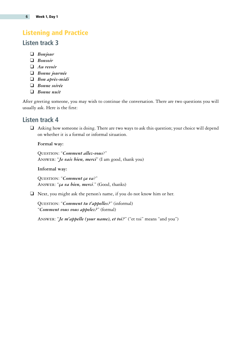## <span id="page-5-0"></span>Listening and Practice

## **Listen track 3**

- ❑ *Bonjour*
- ❑ *Bonsoir*
- ❑ *Au revoir*
- ❑ *Bonne journée*
- ❑ *Bon après-midi*
- ❑ *Bonne soirée*
- ❑ *Bonne nuit*

After greeting someone, you may wish to continue the conversation. There are two questions you will usually ask. Here is the first:

## **Listen track 4**

❑ Asking how someone is doing. There are two ways to ask this question; your choice will depend on whether it is a formal or informal situation.

#### **Formal way:**

Question: "*Comment allez-vous*?" Answer: "*Je vais bien, merci*" (I am good, thank you)

#### **Informal way:**

Question: "*Comment ça va*?" Answer: "*ça va bien, merci*." (Good, thanks)

❑ Next, you might ask the person's name, if you do not know him or her.

Question: "*Comment tu t'appelles?*" (informal) "*Comment vous vous appelez?*" (formal)

Answer: "*Je m'appelle (your name), et toi?*" ("et toi" means "and you")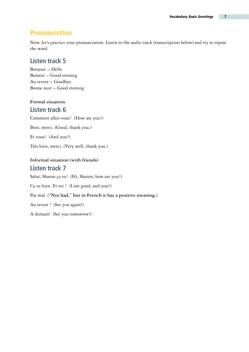## Pronunciation

Now, let's practice your pronunciation. Listen to the audio track (transcription below) and try to repeat the word.

## **Listen track 5**

Bonjour = Hello Bonsoir = Good evening Au revoir = Goodbye Bonne nuit = Good evening

## **Formal situation:**

## **Listen track 6**

Comment allez-vous? (How are you?)

Bien, merci. (Good, thank you.)

Et vous? (And you?)

Très bien, merci. (Very well, thank you.)

## **Informal situation (with friends) Listen track 7**

Salut, Sharon ça va? (Hi, Sharon, how are you?)

Ca va bien. Et toi ? (I am good, and you?)

#### Pas mal. (**"Not bad," but in French it has a positive meaning.**)

Au revoir ! (See you again!)

A demain! (See you tomorrow!)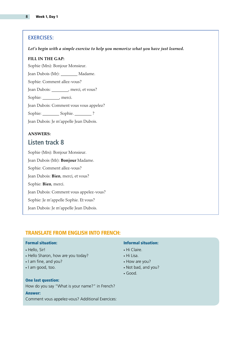#### **Exercises:**

*Let's begin with a simple exercise to help you memorize what you have just learned.*

#### **Fill in the gap:**

Sophie (Mrs): Bonjour Monsieur.

Jean Dubois (Mr): Madame.

Sophie: Comment allez-vous?

Jean Dubois: , merci, et vous?

Sophie: \_\_\_\_\_\_\_\_, merci.

Jean Dubois: Comment vous vous appelez?

Sophie: Sophie. ?

Jean Dubois: Je m'appelle Jean Dubois.

#### **Answers: Listen track 8**

Sophie (Mrs): Bonjour Monsieur. Jean Dubois (Mr): **Bonjour** Madame. Sophie: Comment allez-vous? Jean Dubois: **Bien**, merci, et vous? Sophie: **Bien**, merci. Jean Dubois: Comment vous appelez-vous? Sophie: Je m'appelle Sophie. Et vous? Jean Dubois: Je m'appelle Jean Dubois.

#### Translate from English into French:

#### Formal situation:

- Hello, Sir!
- Hello Sharon, how are you today?
- I am fine, and you?
- I am good, too.

#### One last question:

How do you say "What is your name?" in French?

#### Answer:

Comment vous appelez-vous? Additional Exercices:

#### Informal situation:

- Hi Claire.
- Hi Lisa.
- How are you?
- Not bad, and you?
- • Good.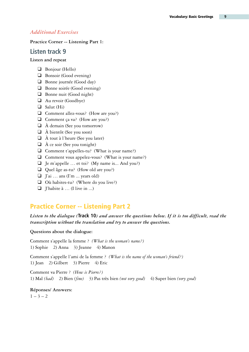#### <span id="page-8-0"></span>*Additional Exercises*

#### **Practice Corner -- Listening Part 1:**

#### **Listen track 9**

#### **Listen and repeat**

- ❑ Bonjour (Hello)
- ❑ Bonsoir (Good evening)
- ❑ Bonne journée (Good day)
- ❑ Bonne soirée (Good evening)
- ❑ Bonne nuit (Good night)
- □ Au revoir (Goodbye)
- ❑ Salut (Hi)
- ❑ Comment allez-vous? (How are you?)
- ❑ Comment ça va? (How are you?)
- ❑ À demain (See you tomorrow)
- ❑ À bientôt (See you soon)
- $\Box$  À tout à l'heure (See you later)
- $\Box$  À ce soir (See you tonight)
- ❑ Comment t'appelles-tu? (What is your name?)
- ❑ Comment vous appelez-vous? (What is your name?)
- ❑ Je m'appelle … et toi? (My name is... And you?)
- ❑ Quel âge as-tu? (How old are you?)
- ❑ J'ai … ans (I'm ... years old)
- ❑ Où habites-tu? (Where do you live?)
- ❑ J'habite à … (I live in ...)

## Practice Corner -- Listening Part 2

#### *Listen to the dialogue (***Track 10***) and answer the questions below. If it is too difficult, read the transcription without the translation and try to answer the questions.*

#### **Questions about the dialogue:**

Comment s'appelle la femme ? *(What is the woman's name?)* 1) Sophie 2) Anna 3) Jeanne 4) Manon

Comment s'appelle l'ami de la femme ? *(What is the name of the woman's friend?)* 1) Jean 2) Gilbert  $3$ ) Pierre 4) Eric

Comment va Pierre ? *(How is Pierre?)* 1) Mal *(bad)* 2) Bien *(fine)* 3) Pas très bien *(not very good)* 4) Super bien *(very good)*

**Réponses/ Answers:**  $1 - 3 - 2$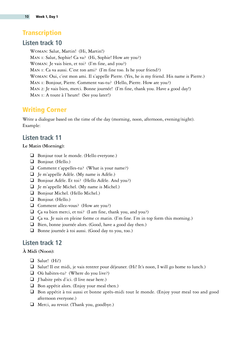## **Transcription**

## **Listen track 10**

Woman: Salut, Martin! (Hi, Martin!) Man 1: Salut, Sophie! Ca va? (Hi, Sophie! How are you?) Woman: Je vais bien, et toi? (I'm fine, and you?) Man 1: Ca va aussi. C'est ton ami? (I'm fine too. Is he your friend?) Woman: Oui, c'est mon ami. Il s'appelle Pierre. (Yes, he is my friend. His name is Pierre.) Man 1: Bonjour, Pierre. Comment vas-tu? (Hello, Pierre. How are you?) Man 2: Je vais bien, merci. Bonne journée! (I'm fine, thank you. Have a good day!) Man 1: A toute à l'heure! (See you later!)

## Writing Corner

Write a dialogue based on the time of the day (morning, noon, afternoon, evening/night). Example:

## **Listen track 11**

#### **Le Matin (Morning):**

- ❑ Bonjour tout le monde. (Hello everyone.)
- ❑ Bonjour. (Hello.)
- ❑ Comment t'appelles-tu? (What is your name?)
- ❑ Je m'appelle Adèle. (My name is Adèle.)
- ❑ Bonjour Adèle. Et toi? (Hello Adèle. And you?)
- ❑ Je m'appelle Michel. (My name is Michel.)
- □ Bonjour Michel. (Hello Michel.)
- ❑ Bonjour. (Hello.)
- ❑ Comment allez-vous? (How are you?)
- $\Box$  Ça va bien merci, et toi? (I am fine, thank you, and you?)
- $\Box$  Ça va. Je suis en pleine forme ce matin. (I'm fine. I'm in top form this morning.)
- □ Bien, bonne journée alors. (Good, have a good day then.)
- ❑ Bonne journée à toi aussi. (Good day to you, too.)

## **Listen track 12**

#### **À Midi (Noon):**

- ❑ Salut! (Hi!)
- ❑ Salut! Il est midi, je vais rentrer pour déjeuner. (Hi! It's noon, I will go home to lunch.)
- ❑ Où habites-tu? (Where do you live?)
- ❑ J'habite près d'ici. (I live near here.)
- ❑ Bon appétit alors. (Enjoy your meal then.)
- ❑ Bon appétit à toi aussi et bonne après-midi tout le monde. (Enjoy your meal too and good afternoon everyone.)
- ❑ Merci, au revoir. (Thank you, goodbye.)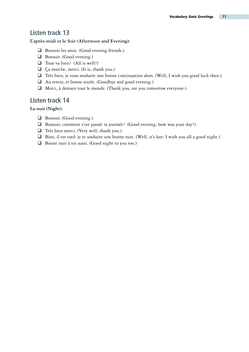## **Listen track 13**

#### **L'après-midi et le Soir (Afternoon and Evening):**

- ❑ Bonsoir les amis. (Good evening friends.)
- ❑ Bonsoir. (Good evening.)
- ❑ Tout va bien? (All is well?)
- ❑ Ça marche, merci. (It is, thank you.)
- ❑ Très bien, je vous souhaite une bonne continuation alors. (Well, I wish you good luck then.)
- ❑ Au revoir, et bonne soirée. (Goodbye and good evening.)
- ❑ Merci, à demain tout le monde. (Thank you, see you tomorrow everyone.)

## **Listen track 14**

**La nuit (Night):**

- ❑ Bonsoir. (Good evening.)
- ❑ Bonsoir, comment s'est passée ta journée? (Good evening, how was your day?)
- ❑ Très bien merci. (Very well, thank you.)
- ❑ Bien, il est tard: je te souhaite une bonne nuit. (Well, it's late: I wish you all a good night.)
- ❑ Bonne nuit à toi aussi. (Good night to you too.)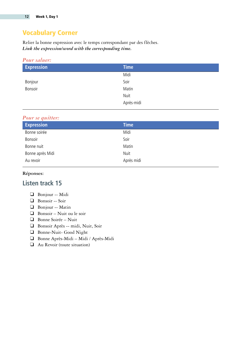## Vocabulary Corner

Relier la bonne expression avec le temps correspondant par des flèches. *Link the expression/word with the corresponding time.*

#### *Pour saluer:*

| <b>Expression</b> | <b>Time</b> |
|-------------------|-------------|
|                   | Midi        |
| Bonjour           | Soir        |
| Bonsoir           | Matin       |
|                   | Nuit        |
|                   | Après-midi  |

#### *Pour se quitter:*

| <b>Expression</b> | <b>Time</b> |
|-------------------|-------------|
| Bonne soirée      | Midi        |
| Bonsoir           | Soir        |
| Bonne nuit        | Matin       |
| Bonne après Midi  | Nuit        |
| Au revoir         | Après midi  |
|                   |             |

#### **Réponses:**

## **Listen track 15**

#### ❑ Bonjour -- Midi

- ❑ Bonsoir -- Soir
- ❑ Bonjour -- Matin
- ❑ Bonsoir Nuit ou le soir
- ❑ Bonne Soirée Nuit
- ❑ Bonsoir Après -- midi, Nuit, Soir
- ❑ Bonne-Nuit- Good Night
- ❑ Bonne Après-Midi Midi / Après-Midi
- ❑ Au Revoir (toute situation)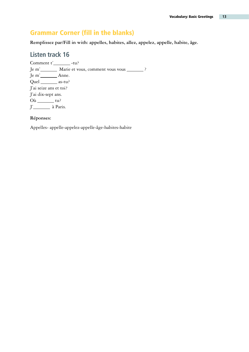## <span id="page-12-0"></span>Grammar Corner (fill in the blanks)

**Remplissez par/Fill in with: appelles, habites, allez, appelez, appelle, habite, âge.**

## **Listen track 16**

Comment  $t'$  -tu? Je m' \_\_\_\_\_\_\_ Marie et vous, comment vous vous \_\_\_\_\_\_\_ ? Je m'<sub>\_\_\_\_\_\_</sub>\_\_\_\_\_\_\_\_\_\_ Anne. Quel \_\_\_\_\_\_\_ as-tu? J'ai seize ans et toi? J'ai dix-sept ans.  $O\hat{u}$  \_\_\_\_\_\_\_\_\_ tu? J'<sub>11</sub> à Paris.

#### **Réponses:**

Appelles- appelle-appelez-appelle-âge-habites-habite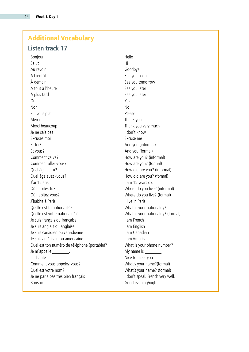## <span id="page-13-0"></span>Additional Vocabulary

### **Listen track 17**

Bonjour **Hello** Salut **History of the Salut** History of the Salut **History of the Salut** History of the Salut **History of the Salut** Au revoir **Au revoir Goodbye** A bientôt See you soon À demain See you tomorrow  $\lambda$  tout à l'heure  $\lambda$  is the set of  $\lambda$  see you later A plus tard See you later Oui Yes Non Note that the *No*n Note that the *No*n Note that the *No*n Note that the *No*n Note that the *No*n Note that the *No*n Note that the *No*n Note that the *No*n Note that the *No*n Note that the *No*n Note that the *Non* S'il vous plaît en entremaine de la plantie de Please Merci **Thank you** Merci beaucoup and the state of the Thank you very much Je ne sais pas I don't know Excusez moi Excuse me Et toi? And you (informal) Et vous? And you (formal) Comment ça va? A Comment ça va? Comment allez-vous? Comment allez-vous? Quel âge as-tu? How old are you? (informal) Quel âge avez -vous? The same state of the How old are you? (formal) J'ai 15 ans. I am 15 years old. Où habites-tu? Where do you live? (informal) Où habitez-vous? Where do you live? (formal) J'habite à Paris **I live in Paris** I live in Paris Quelle est ta nationalité? Comme and the Muslim What is your nationality? Quelle est votre nationalité? What is your nationality? (formal) Je suis français ou française **I am French** Je suis anglais ou anglaise I am English Je suis canadien ou canadienne I am Canadian Je suis américain ou américaine **I am American** Quel est ton numéro de téléphone (portable)? What is your phone number? Je m'appelle \_\_\_\_\_\_\_\_\_. All and the My name is \_\_\_\_\_\_\_\_\_. enchanté d'animatique de la contraste de la proponent de la Nice to meet you Comment vous appelez-vous? What's your name?(formal) Quel est votre nom? What's your name? (formal) Je ne parle pas très bien français **I don't speak French very well**. Bonsoir **Good evening/night**